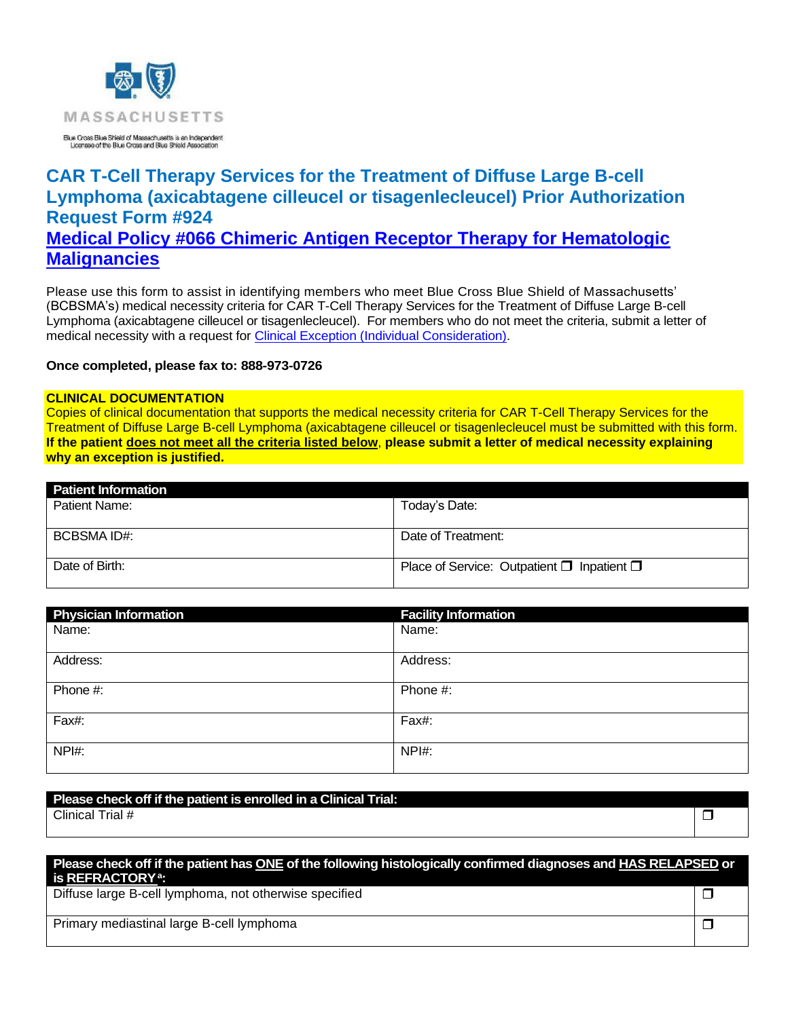

# **CAR T-Cell Therapy Services for the Treatment of Diffuse Large B-cell Lymphoma (axicabtagene cilleucel or tisagenlecleucel) Prior Authorization Request Form #924 Medical Policy #066 [Chimeric Antigen Receptor Therapy for Hematologic](https://www.bluecrossma.org/medical-policies/sites/g/files/csphws2091/files/acquiadam-assets/066%20Chimeric%20Antigen%20Receptor%20Therapy%20for%20Hematologic%20Malignancies%20prn.pdf)  [Malignancies](https://www.bluecrossma.org/medical-policies/sites/g/files/csphws2091/files/acquiadam-assets/066%20Chimeric%20Antigen%20Receptor%20Therapy%20for%20Hematologic%20Malignancies%20prn.pdf)**

Please use this form to assist in identifying members who meet Blue Cross Blue Shield of Massachusetts' (BCBSMA's) medical necessity criteria for CAR T-Cell Therapy Services for the Treatment of Diffuse Large B-cell Lymphoma (axicabtagene cilleucel or tisagenlecleucel). For members who do not meet the criteria, submit a letter of medical necessity with a request for [Clinical Exception \(Individual Consideration\).](http://www.bluecrossma.org/medical-policies/sites/g/files/csphws2091/files/acquiadam-assets/Clinical_Exception_Process_prn.pdf)

#### **Once completed, please fax to: 888-973-0726**

#### **CLINICAL DOCUMENTATION**

Copies of clinical documentation that supports the medical necessity criteria for CAR T-Cell Therapy Services for the Treatment of Diffuse Large B-cell Lymphoma (axicabtagene cilleucel or tisagenlecleucel must be submitted with this form. **If the patient does not meet all the criteria listed below**, **please submit a letter of medical necessity explaining why an exception is justified.**

| <b>Patient Information</b> |                                                      |
|----------------------------|------------------------------------------------------|
| Patient Name:              | Today's Date:                                        |
|                            |                                                      |
| BCBSMA ID#:                | Date of Treatment:                                   |
| Date of Birth:             | Place of Service: Outpatient $\Box$ Inpatient $\Box$ |

| <b>Physician Information</b> | <b>Facility Information</b> |
|------------------------------|-----------------------------|
| Name:                        | Name:                       |
| Address:                     | Address:                    |
| Phone #:                     | Phone #:                    |
| Fax#:                        | Fax#:                       |
| NPI#:                        | NPI#:                       |

# **Please check off if the patient is enrolled in a Clinical Trial:**

Clinical Trial #  $\Box$ 

### **Please check off if the patient has ONE of the following histologically confirmed diagnoses and HAS RELAPSED or is REFRACTORY<sup>a</sup> :**

Diffuse large B-cell lymphoma, not otherwise specified

Primary mediastinal large B-cell lymphoma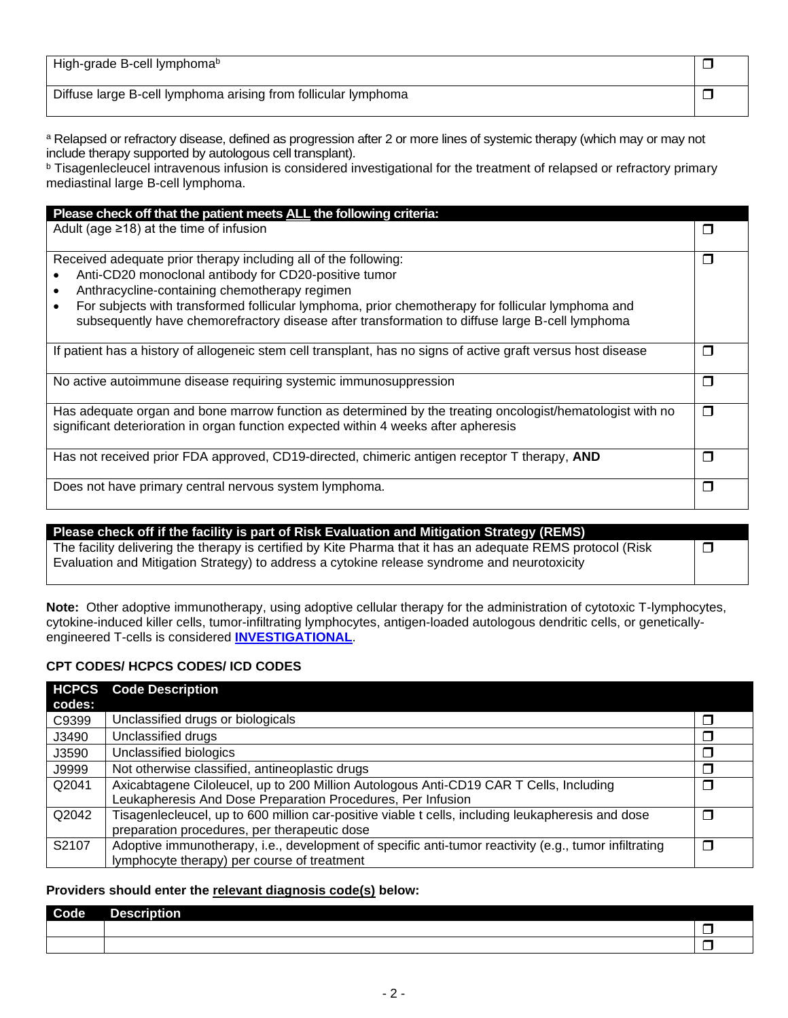| High-grade B-cell lymphomab                                    |  |
|----------------------------------------------------------------|--|
| Diffuse large B-cell lymphoma arising from follicular lymphoma |  |

a Relapsed or refractory disease, defined as progression after 2 or more lines of systemic therapy (which may or may not include therapy supported by autologous cell transplant).

**b** Tisagenlecleucel intravenous infusion is considered investigational for the treatment of relapsed or refractory primary mediastinal large B-cell lymphoma.

| Please check off that the patient meets ALL the following criteria:                                                                                                                                               |        |
|-------------------------------------------------------------------------------------------------------------------------------------------------------------------------------------------------------------------|--------|
| Adult (age $\geq$ 18) at the time of infusion                                                                                                                                                                     | $\Box$ |
| Received adequate prior therapy including all of the following:                                                                                                                                                   | П      |
| Anti-CD20 monoclonal antibody for CD20-positive tumor<br>$\bullet$                                                                                                                                                |        |
| Anthracycline-containing chemotherapy regimen<br>$\bullet$                                                                                                                                                        |        |
| For subjects with transformed follicular lymphoma, prior chemotherapy for follicular lymphoma and<br>$\bullet$<br>subsequently have chemorefractory disease after transformation to diffuse large B-cell lymphoma |        |
| If patient has a history of allogeneic stem cell transplant, has no signs of active graft versus host disease                                                                                                     | П      |
| No active autoimmune disease requiring systemic immunosuppression                                                                                                                                                 | $\Box$ |
| Has adequate organ and bone marrow function as determined by the treating oncologist/hematologist with no<br>significant deterioration in organ function expected within 4 weeks after apheresis                  | $\Box$ |
| Has not received prior FDA approved, CD19-directed, chimeric antigen receptor T therapy, AND                                                                                                                      | $\Box$ |
| Does not have primary central nervous system lymphoma.                                                                                                                                                            | П      |

| Please check off if the facility is part of Risk Evaluation and Mitigation Strategy (REMS)                  |        |
|-------------------------------------------------------------------------------------------------------------|--------|
| The facility delivering the therapy is certified by Kite Pharma that it has an adequate REMS protocol (Risk | $\Box$ |
| Evaluation and Mitigation Strategy) to address a cytokine release syndrome and neurotoxicity                |        |
|                                                                                                             |        |

**Note:** Other adoptive immunotherapy, using adoptive cellular therapy for the administration of cytotoxic T-lymphocytes, cytokine-induced killer cells, tumor-infiltrating lymphocytes, antigen-loaded autologous dendritic cells, or geneticallyengineered T-cells is considered **[INVESTIGATIONAL](https://www.bluecrossma.org/medical-policies/sites/g/files/csphws2091/files/acquiadam-assets/Definition%20of%20Med%20Nec%20Inv%20Not%20Med%20Nec%20prn.pdf#page=1)**.

## **CPT CODES/ HCPCS CODES/ ICD CODES**

| <b>HCPCS</b> | <b>Code Description</b>                                                                               |    |
|--------------|-------------------------------------------------------------------------------------------------------|----|
| codes:       |                                                                                                       |    |
| C9399        | Unclassified drugs or biologicals                                                                     |    |
| J3490        | Unclassified drugs                                                                                    |    |
| J3590        | Unclassified biologics                                                                                |    |
| J9999        | Not otherwise classified, antineoplastic drugs                                                        | ×. |
| Q2041        | Axicabtagene Ciloleucel, up to 200 Million Autologous Anti-CD19 CAR T Cells, Including                | П  |
|              | Leukapheresis And Dose Preparation Procedures, Per Infusion                                           |    |
| Q2042        | Tisagenlecleucel, up to 600 million car-positive viable t cells, including leukapheresis and dose     | ×. |
|              | preparation procedures, per therapeutic dose                                                          |    |
| S2107        | Adoptive immunotherapy, i.e., development of specific anti-tumor reactivity (e.g., tumor infiltrating | ×. |
|              | lymphocyte therapy) per course of treatment                                                           |    |

### **Providers should enter the relevant diagnosis code(s) below:**

| l Code | УШ<br>$\sim$ |  |
|--------|--------------|--|
|        |              |  |
|        |              |  |